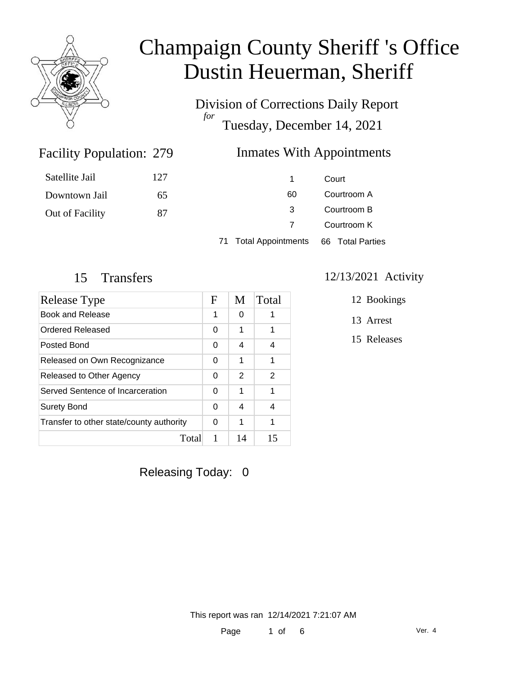

Satellite Jail

Downtown Jail

Out of Facility

# Champaign County Sheriff 's Office Dustin Heuerman, Sheriff

Division of Corrections Daily Report *for* Tuesday, December 14, 2021

### Facility Population: 279

### **Inmates With Appointments**

| 127 | 1. | Court       |
|-----|----|-------------|
| 65  | 60 | Courtroom A |
| 87  | 3  | Courtroom B |
|     | 7  | Courtroom K |
|     |    |             |

71 Total Appointments 66 Total Parties

| Release Type                             | F | M  | Total |
|------------------------------------------|---|----|-------|
| Book and Release                         | 1 | 0  |       |
| Ordered Released                         | 0 | 1  | 1     |
| Posted Bond                              | 0 | 4  | 4     |
| Released on Own Recognizance             | 0 | 1  | 1     |
| Released to Other Agency                 | 0 | 2  | 2     |
| Served Sentence of Incarceration         | 0 | 1  | 1     |
| <b>Surety Bond</b>                       | 0 | 4  | 4     |
| Transfer to other state/county authority | 0 | 1  | 1     |
| Total                                    | 1 | 14 | 15    |

### 15 Transfers 12/13/2021 Activity

12 Bookings

13 Arrest

15 Releases

Releasing Today: 0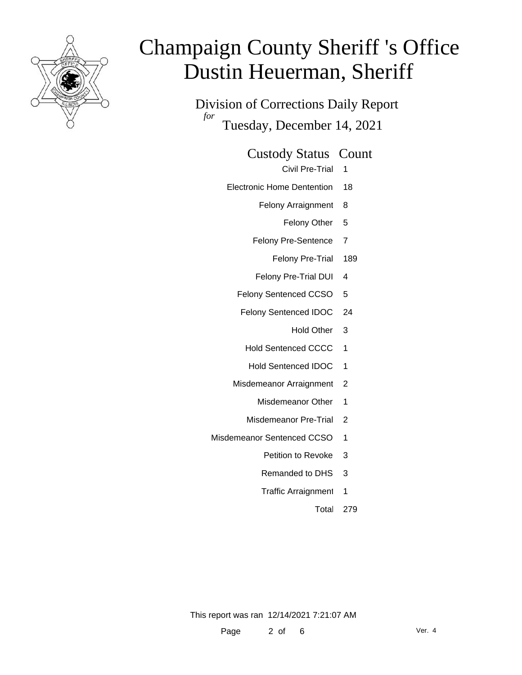

Division of Corrections Daily Report *for* Tuesday, December 14, 2021

Custody Status Count

Civil Pre-Trial 1

- Electronic Home Dentention 18
	- Felony Arraignment 8
		- Felony Other 5
	- Felony Pre-Sentence 7
		- Felony Pre-Trial 189
	- Felony Pre-Trial DUI 4
	- Felony Sentenced CCSO 5
	- Felony Sentenced IDOC 24
		- Hold Other 3
		- Hold Sentenced CCCC 1
		- Hold Sentenced IDOC 1
	- Misdemeanor Arraignment 2
		- Misdemeanor Other 1
		- Misdemeanor Pre-Trial 2
- Misdemeanor Sentenced CCSO 1
	- Petition to Revoke 3
	- Remanded to DHS 3
	- Traffic Arraignment 1
		- Total 279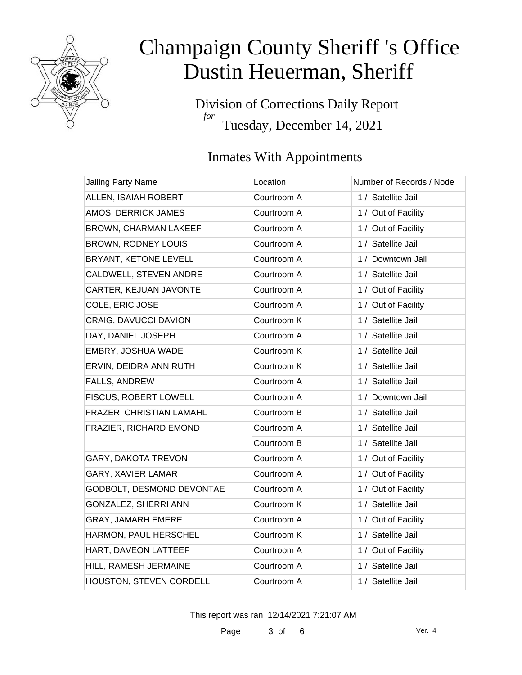

Division of Corrections Daily Report *for* Tuesday, December 14, 2021

### Inmates With Appointments

| Jailing Party Name         | Location    | Number of Records / Node |
|----------------------------|-------------|--------------------------|
| ALLEN, ISAIAH ROBERT       | Courtroom A | 1 / Satellite Jail       |
| AMOS, DERRICK JAMES        | Courtroom A | 1 / Out of Facility      |
| BROWN, CHARMAN LAKEEF      | Courtroom A | 1 / Out of Facility      |
| <b>BROWN, RODNEY LOUIS</b> | Courtroom A | 1 / Satellite Jail       |
| BRYANT, KETONE LEVELL      | Courtroom A | 1 / Downtown Jail        |
| CALDWELL, STEVEN ANDRE     | Courtroom A | 1 / Satellite Jail       |
| CARTER, KEJUAN JAVONTE     | Courtroom A | 1 / Out of Facility      |
| COLE, ERIC JOSE            | Courtroom A | 1 / Out of Facility      |
| CRAIG, DAVUCCI DAVION      | Courtroom K | 1 / Satellite Jail       |
| DAY, DANIEL JOSEPH         | Courtroom A | 1 / Satellite Jail       |
| EMBRY, JOSHUA WADE         | Courtroom K | 1 / Satellite Jail       |
| ERVIN, DEIDRA ANN RUTH     | Courtroom K | 1 / Satellite Jail       |
| FALLS, ANDREW              | Courtroom A | 1 / Satellite Jail       |
| FISCUS, ROBERT LOWELL      | Courtroom A | 1 / Downtown Jail        |
| FRAZER, CHRISTIAN LAMAHL   | Courtroom B | 1 / Satellite Jail       |
| FRAZIER, RICHARD EMOND     | Courtroom A | 1 / Satellite Jail       |
|                            | Courtroom B | 1 / Satellite Jail       |
| GARY, DAKOTA TREVON        | Courtroom A | 1 / Out of Facility      |
| <b>GARY, XAVIER LAMAR</b>  | Courtroom A | 1 / Out of Facility      |
| GODBOLT, DESMOND DEVONTAE  | Courtroom A | 1 / Out of Facility      |
| GONZALEZ, SHERRI ANN       | Courtroom K | 1 / Satellite Jail       |
| GRAY, JAMARH EMERE         | Courtroom A | 1 / Out of Facility      |
| HARMON, PAUL HERSCHEL      | Courtroom K | 1 / Satellite Jail       |
| HART, DAVEON LATTEEF       | Courtroom A | 1 / Out of Facility      |
| HILL, RAMESH JERMAINE      | Courtroom A | 1 / Satellite Jail       |
| HOUSTON, STEVEN CORDELL    | Courtroom A | 1 / Satellite Jail       |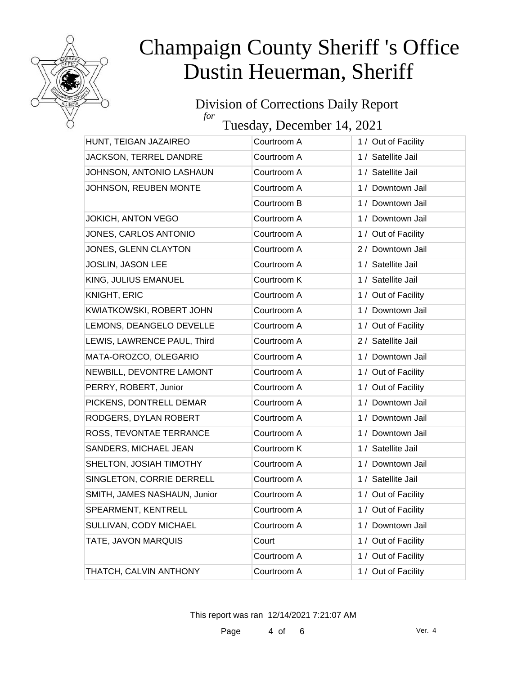

#### Division of Corrections Daily Report *for*

Tuesday, December 14, 2021

| HUNT, TEIGAN JAZAIREO        | Courtroom A | 1 / Out of Facility |
|------------------------------|-------------|---------------------|
| JACKSON, TERREL DANDRE       | Courtroom A | 1 / Satellite Jail  |
| JOHNSON, ANTONIO LASHAUN     | Courtroom A | 1 / Satellite Jail  |
| JOHNSON, REUBEN MONTE        | Courtroom A | 1 / Downtown Jail   |
|                              | Courtroom B | 1 / Downtown Jail   |
| <b>JOKICH, ANTON VEGO</b>    | Courtroom A | 1 / Downtown Jail   |
| JONES, CARLOS ANTONIO        | Courtroom A | 1 / Out of Facility |
| JONES, GLENN CLAYTON         | Courtroom A | 2 / Downtown Jail   |
| JOSLIN, JASON LEE            | Courtroom A | 1 / Satellite Jail  |
| KING, JULIUS EMANUEL         | Courtroom K | 1 / Satellite Jail  |
| KNIGHT, ERIC                 | Courtroom A | 1 / Out of Facility |
| KWIATKOWSKI, ROBERT JOHN     | Courtroom A | 1 / Downtown Jail   |
| LEMONS, DEANGELO DEVELLE     | Courtroom A | 1 / Out of Facility |
| LEWIS, LAWRENCE PAUL, Third  | Courtroom A | 2 / Satellite Jail  |
| MATA-OROZCO, OLEGARIO        | Courtroom A | 1 / Downtown Jail   |
| NEWBILL, DEVONTRE LAMONT     | Courtroom A | 1 / Out of Facility |
| PERRY, ROBERT, Junior        | Courtroom A | 1 / Out of Facility |
| PICKENS, DONTRELL DEMAR      | Courtroom A | 1 / Downtown Jail   |
| RODGERS, DYLAN ROBERT        | Courtroom A | 1 / Downtown Jail   |
| ROSS, TEVONTAE TERRANCE      | Courtroom A | 1 / Downtown Jail   |
| SANDERS, MICHAEL JEAN        | Courtroom K | 1 / Satellite Jail  |
| SHELTON, JOSIAH TIMOTHY      | Courtroom A | 1 / Downtown Jail   |
| SINGLETON, CORRIE DERRELL    | Courtroom A | 1 / Satellite Jail  |
| SMITH, JAMES NASHAUN, Junior | Courtroom A | 1 / Out of Facility |
| SPEARMENT, KENTRELL          | Courtroom A | 1 / Out of Facility |
| SULLIVAN, CODY MICHAEL       | Courtroom A | 1 / Downtown Jail   |
| TATE, JAVON MARQUIS          | Court       | 1 / Out of Facility |
|                              | Courtroom A | 1 / Out of Facility |
| THATCH, CALVIN ANTHONY       | Courtroom A | 1 / Out of Facility |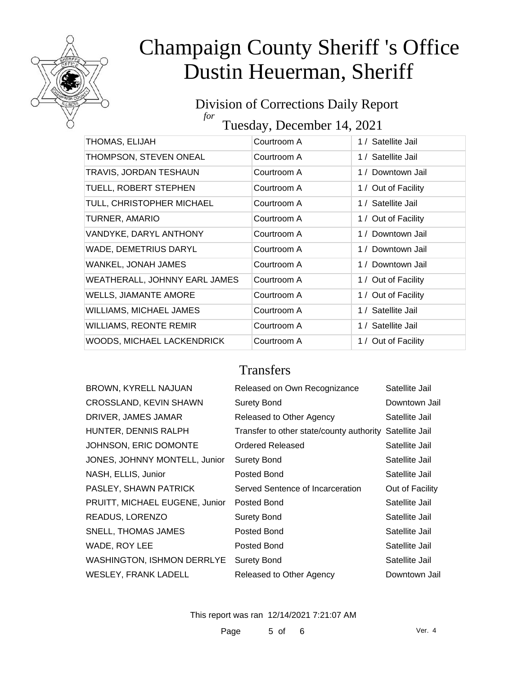

#### Division of Corrections Daily Report *for* Tuesday, December 14, 2021

| THOMAS, ELIJAH                 | Courtroom A | 1 / Satellite Jail  |
|--------------------------------|-------------|---------------------|
| THOMPSON, STEVEN ONEAL         | Courtroom A | 1 / Satellite Jail  |
| TRAVIS, JORDAN TESHAUN         | Courtroom A | 1 / Downtown Jail   |
| TUELL, ROBERT STEPHEN          | Courtroom A | 1 / Out of Facility |
| TULL, CHRISTOPHER MICHAEL      | Courtroom A | 1 / Satellite Jail  |
| <b>TURNER, AMARIO</b>          | Courtroom A | 1 / Out of Facility |
| VANDYKE, DARYL ANTHONY         | Courtroom A | 1 / Downtown Jail   |
| WADE, DEMETRIUS DARYL          | Courtroom A | 1 / Downtown Jail   |
| WANKEL, JONAH JAMES            | Courtroom A | 1 / Downtown Jail   |
| WEATHERALL, JOHNNY EARL JAMES  | Courtroom A | 1 / Out of Facility |
| <b>WELLS, JIAMANTE AMORE</b>   | Courtroom A | 1 / Out of Facility |
| <b>WILLIAMS, MICHAEL JAMES</b> | Courtroom A | 1 / Satellite Jail  |
| <b>WILLIAMS, REONTE REMIR</b>  | Courtroom A | 1 / Satellite Jail  |
| WOODS, MICHAEL LACKENDRICK     | Courtroom A | 1 / Out of Facility |

### **Transfers**

| <b>BROWN, KYRELL NAJUAN</b>       | Released on Own Recognizance             | Satellite Jail  |
|-----------------------------------|------------------------------------------|-----------------|
| CROSSLAND, KEVIN SHAWN            | <b>Surety Bond</b>                       | Downtown Jail   |
| DRIVER, JAMES JAMAR               | Released to Other Agency                 | Satellite Jail  |
| HUNTER, DENNIS RALPH              | Transfer to other state/county authority | Satellite Jail  |
| JOHNSON, ERIC DOMONTE             | Ordered Released                         | Satellite Jail  |
| JONES, JOHNNY MONTELL, Junior     | <b>Surety Bond</b>                       | Satellite Jail  |
| NASH, ELLIS, Junior               | Posted Bond                              | Satellite Jail  |
| PASLEY, SHAWN PATRICK             | Served Sentence of Incarceration         | Out of Facility |
| PRUITT, MICHAEL EUGENE, Junior    | Posted Bond                              | Satellite Jail  |
| READUS, LORENZO                   | <b>Surety Bond</b>                       | Satellite Jail  |
| <b>SNELL, THOMAS JAMES</b>        | Posted Bond                              | Satellite Jail  |
| WADE, ROY LEE                     | Posted Bond                              | Satellite Jail  |
| <b>WASHINGTON, ISHMON DERRLYE</b> | <b>Surety Bond</b>                       | Satellite Jail  |
| <b>WESLEY, FRANK LADELL</b>       | Released to Other Agency                 | Downtown Jail   |
|                                   |                                          |                 |